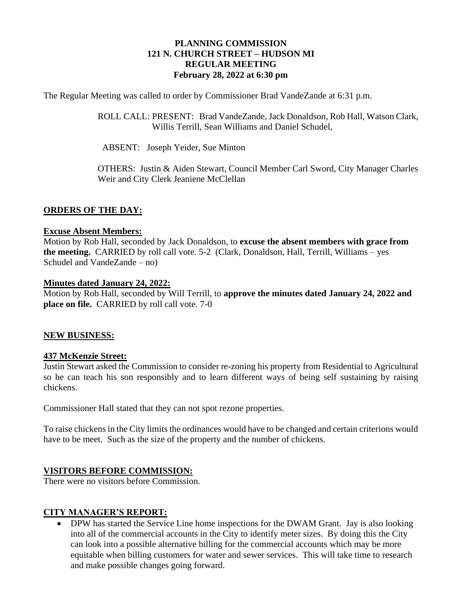## **PLANNING COMMISSION 121 N. CHURCH STREET – HUDSON MI REGULAR MEETING February 28, 2022 at 6:30 pm**

The Regular Meeting was called to order by Commissioner Brad VandeZande at 6:31 p.m.

ROLL CALL: PRESENT: Brad VandeZande, Jack Donaldson, Rob Hall, Watson Clark, Willis Terrill, Sean Williams and Daniel Schudel,

ABSENT: Joseph Yeider, Sue Minton

OTHERS: Justin & Aiden Stewart, Council Member Carl Sword, City Manager Charles Weir and City Clerk Jeaniene McClellan

#### **ORDERS OF THE DAY:**

#### **Excuse Absent Members:**

Motion by Rob Hall, seconded by Jack Donaldson, to **excuse the absent members with grace from the meeting.** CARRIED by roll call vote. 5-2 (Clark, Donaldson, Hall, Terrill, Williams – yes Schudel and VandeZande – no)

#### **Minutes dated January 24, 2022:**

Motion by Rob Hall, seconded by Will Terrill, to **approve the minutes dated January 24, 2022 and place on file.** CARRIED by roll call vote. 7-0

#### **NEW BUSINESS:**

#### **437 McKenzie Street:**

Justin Stewart asked the Commission to consider re-zoning his property from Residential to Agricultural so he can teach his son responsibly and to learn different ways of being self sustaining by raising chickens.

Commissioner Hall stated that they can not spot rezone properties.

To raise chickens in the City limits the ordinances would have to be changed and certain criterions would have to be meet. Such as the size of the property and the number of chickens.

## **VISITORS BEFORE COMMISSION:**

There were no visitors before Commission.

## **CITY MANAGER'S REPORT:**

• DPW has started the Service Line home inspections for the DWAM Grant. Jay is also looking into all of the commercial accounts in the City to identify meter sizes. By doing this the City can look into a possible alternative billing for the commercial accounts which may be more equitable when billing customers for water and sewer services. This will take time to research and make possible changes going forward.